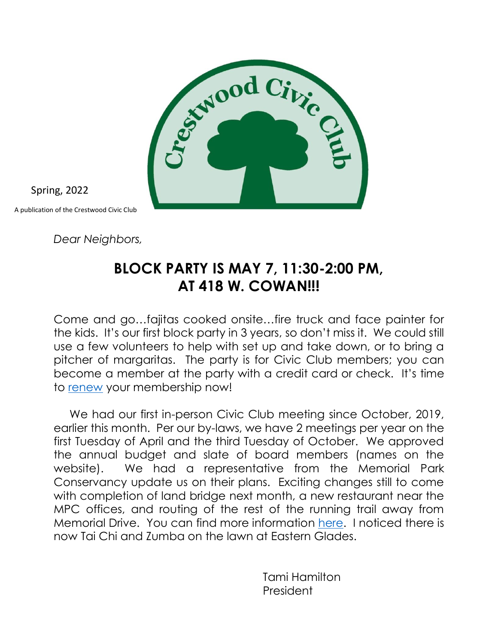

Spring, 2022

A publication of the Crestwood Civic Club

*Dear Neighbors,*

### **BLOCK PARTY IS MAY 7, 11:30-2:00 PM, AT 418 W. COWAN!!!**

Come and go…fajitas cooked onsite…fire truck and face painter for the kids. It's our first block party in 3 years, so don't miss it. We could still use a few volunteers to help with set up and take down, or to bring a pitcher of margaritas. The party is for Civic Club members; you can become a member at the party with a credit card or check. It's time to [renew](https://www.crestwoodglencove.org/civic-club) your membership now!

 We had our first in-person Civic Club meeting since October, 2019, earlier this month. Per our by-laws, we have 2 meetings per year on the first Tuesday of April and the third Tuesday of October. We approved the annual budget and slate of board members (names on the website). We had a representative from the Memorial Park Conservancy update us on their plans. Exciting changes still to come with completion of land bridge next month, a new restaurant near the MPC offices, and routing of the rest of the running trail away from Memorial Drive. You can find more information [here.](https://www.memorialparkconservancy.org/discover/master-plan/land-bridge-prairie-restoration-project/) I noticed there is now Tai Chi and Zumba on the lawn at Eastern Glades.

> Tami Hamilton President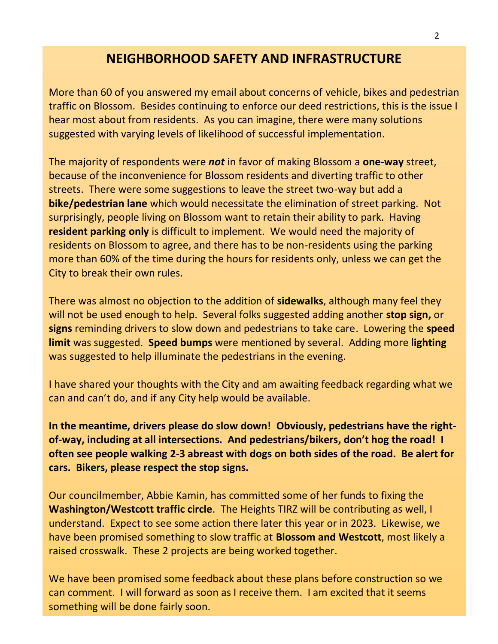### **NEIGHBORHOOD SAFETY AND INFRASTRUCTURE**

More than 60 of you answered my email about concerns of vehicle, bikes and pedestrian traffic on Blossom. Besides continuing to enforce our deed restrictions, this is the issue I hear most about from residents. As you can imagine, there were many solutions suggested with varying levels of likelihood of successful implementation.

The majority of respondents were *not* in favor of making Blossom a **one-way** street, because of the inconvenience for Blossom residents and diverting traffic to other streets. There were some suggestions to leave the street two-way but add a **bike/pedestrian lane** which would necessitate the elimination of street parking. Not surprisingly, people living on Blossom want to retain their ability to park. Having **resident parking only** is difficult to implement. We would need the majority of residents on Blossom to agree, and there has to be non-residents using the parking more than 60% of the time during the hours for residents only, unless we can get the City to break their own rules.

There was almost no objection to the addition of **sidewalks**, although many feel they will not be used enough to help. Several folks suggested adding another **stop sign,** or **signs** reminding drivers to slow down and pedestrians to take care. Lowering the **speed limit** was suggested. **Speed bumps** were mentioned by several. Adding more l**ighting** was suggested to help illuminate the pedestrians in the evening.

I have shared your thoughts with the City and am awaiting feedback regarding what we can and can't do, and if any City help would be available.

**In the meantime, drivers please do slow down! Obviously, pedestrians have the rightof-way, including at all intersections. And pedestrians/bikers, don't hog the road! I often see people walking 2-3 abreast with dogs on both sides of the road. Be alert for cars. Bikers, please respect the stop signs.**

Our councilmember, Abbie Kamin, has committed some of her funds to fixing the **Washington/Westcott traffic circle**. The Heights TIRZ will be contributing as well, I understand. Expect to see some action there later this year or in 2023. Likewise, we have been promised something to slow traffic at **Blossom and Westcott**, most likely a raised crosswalk. These 2 projects are being worked together.

We have been promised some feedback about these plans before construction so we can comment. I will forward as soon as I receive them. I am excited that it seems something will be done fairly soon.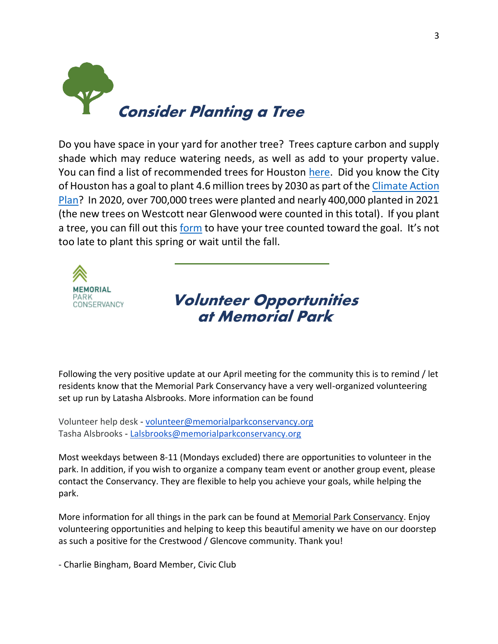

Do you have space in your yard for another tree? Trees capture carbon and supply shade which may reduce watering needs, as well as add to your property value. You can find a list of recommended trees for Houston [here.](http://www.houstontx.gov/planning/DevelopRegs/tree_shrub.html) Did you know the City of Houston has a goal to plant 4.6 million trees by 2030 as part of th[e Climate Action](http://greenhoustontx.gov/climateactionplan/CAP-April2020.pdf)  [Plan?](http://greenhoustontx.gov/climateactionplan/CAP-April2020.pdf) In 2020, over 700,000 trees were planted and nearly 400,000 planted in 2021 (the new trees on Westcott near Glenwood were counted in this total). If you plant a tree, you can fill out this [form](https://forms.office.com/pages/responsepage.aspx?id=EFqoV4sltEWlGclsdyEJTL-wrW5AS4hGquXD7ppUqe9UOEhZVFBFSzY4NkNZRUhFQjhaTFhOSklGQi4u) to have your tree counted toward the goal. It's not too late to plant this spring or wait until the fall.



### **Volunteer Opportunities at Memorial Park**

Following the very positive update at our April meeting for the community this is to remind / let residents know that the Memorial Park Conservancy have a very well-organized volunteering set up run by Latasha Alsbrooks. More information can be found

Volunteer help desk - [volunteer@memorialparkconservancy.org](mailto:volunteer@memorialparkconservancy.org) Tasha Alsbrooks - [Lalsbrooks@memorialparkconservancy.org](mailto:Lalsbrooks@memorialparkconservancy.org)

Most weekdays between 8-11 (Mondays excluded) there are opportunities to volunteer in the park. In addition, if you wish to organize a company team event or another group event, please contact the Conservancy. They are flexible to help you achieve your goals, while helping the park.

More information for all things in the park can be found at [Memorial Park Conservancy.](https://memorialparkconservancy.volunteerhub.com/?format=1&filter=%7B%7D#_=_) Enjoy volunteering opportunities and helping to keep this beautiful amenity we have on our doorstep as such a positive for the Crestwood / Glencove community. Thank you!

- Charlie Bingham, Board Member, Civic Club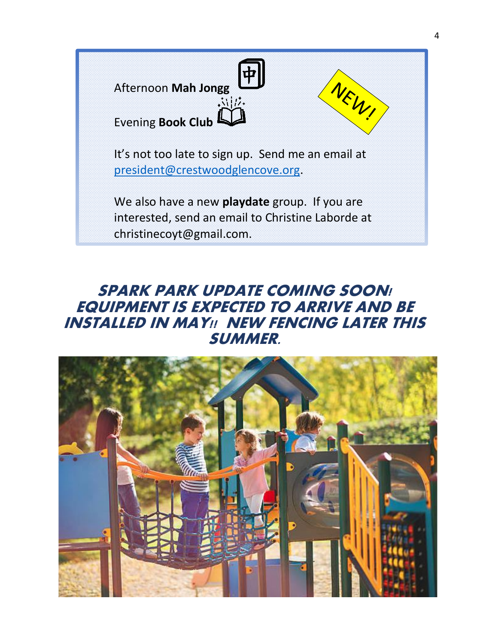

It's not too late to sign up. Send me an email at [president@crestwoodglencove.org.](mailto:president@crestwoodglencove.org)

We also have a new **playdate** group. If you are interested, send an email to Christine Laborde at christinecoyt@gmail.com.

## **SPARK PARK UPDATE COMING SOON! EQUIPMENT IS EXPECTED TO ARRIVE AND BE INSTALLED IN MAY!! NEW FENCING LATER THIS SUMMER.**



NEW!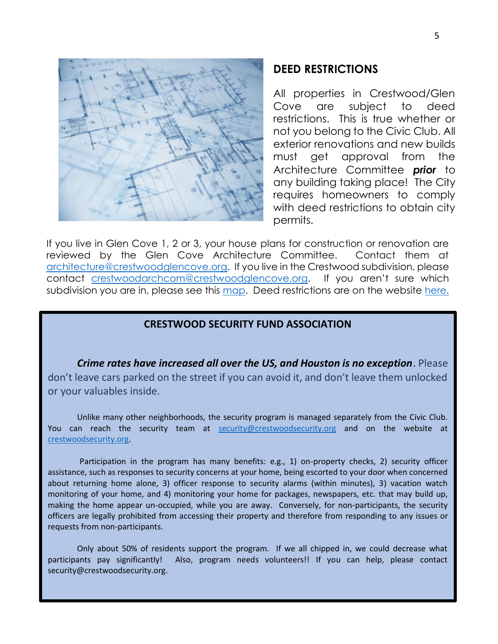

#### **DEED RESTRICTIONS**

All properties in Crestwood/Glen Cove are subject to deed restrictions. This is true whether or not you belong to the Civic Club. All exterior renovations and new builds must get approval from the Architecture Committee *prior* to any building taking place!The City requires homeowners to comply with deed restrictions to obtain city permits.

If you live in Glen Cove 1, 2 or 3, your house plans for construction or renovation are reviewed by the Glen Cove Architecture Committee. Contact them at [architecture@crestwoodglencove.org.](mailto:architecture@crestwoodglencove.org) If you live in the Crestwood subdivision, please contact [crestwoodarchcom@crestwoodglencove.org](mailto:crestwoodarchcom@crestwoodglencove.org). If you aren't sure which subdivision you are in, please see this [map.](https://www.crestwoodglencove.org/neighborhood-map) Deed restrictions are on the website here.

#### **CRESTWOOD SECURITY FUND ASSOCIATION**

*Crime rates have increased all over the US, and Houston is no exception*. Please don't leave cars parked on the street if you can avoid it, and don't leave them unlocked or your valuables inside.

Unlike many other neighborhoods, the security program is managed separately from the Civic Club. You can reach the security team at [security@crestwoodsecurity.org](mailto:security@crestwoodsecurity.org) and on the website at [crestwoodsecurity.org.](http://crestwoodsecurity.org/)

Participation in the program has many benefits: e.g., 1) on-property checks, 2) security officer assistance, such as responses to security concerns at your home, being escorted to your door when concerned about returning home alone, 3) officer response to security alarms (within minutes), 3) vacation watch monitoring of your home, and 4) monitoring your home for packages, newspapers, etc. that may build up, making the home appear un-occupied, while you are away. Conversely, for non-participants, the security officers are legally prohibited from accessing their property and therefore from responding to any issues or requests from non-participants.

Only about 50% of residents support the program. If we all chipped in, we could decrease what participants pay significantly! Also, program needs volunteers!! If you can help, please contact security@crestwoodsecurity.org.